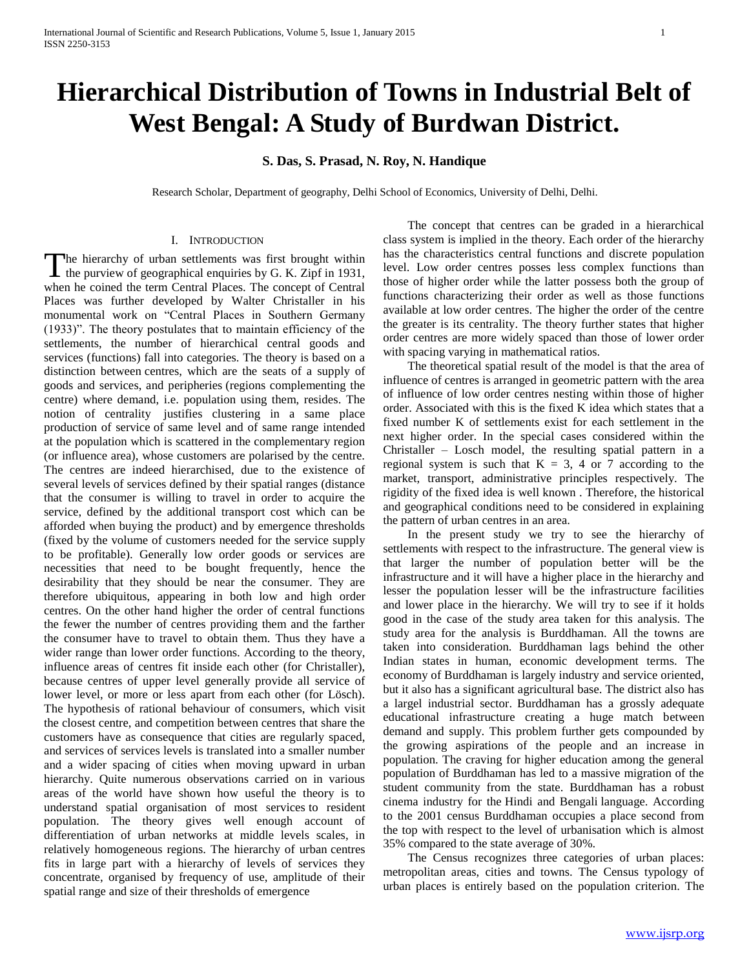# **Hierarchical Distribution of Towns in Industrial Belt of West Bengal: A Study of Burdwan District.**

# **S. Das, S. Prasad, N. Roy, N. Handique**

Research Scholar, Department of geography, Delhi School of Economics, University of Delhi, Delhi.

## I. INTRODUCTION

The hierarchy of urban settlements was first brought within The hierarchy of urban settlements was first brought within<br>the purview of geographical enquiries by G. K. Zipf in 1931, when he coined the term Central Places. The concept of Central Places was further developed by Walter Christaller in his monumental work on "Central Places in Southern Germany (1933)". The theory postulates that to maintain efficiency of the settlements, the number of hierarchical central goods and services (functions) fall into categories. The theory is based on a distinction between centres, which are the seats of a supply of goods and services, and peripheries (regions complementing the centre) where demand, i.e. population using them, resides. The notion of centrality justifies clustering in a same place production of service of same level and of same range intended at the population which is scattered in the complementary region (or influence area), whose customers are polarised by the centre. The centres are indeed hierarchised, due to the existence of several levels of services defined by their spatial ranges (distance that the consumer is willing to travel in order to acquire the service, defined by the additional transport cost which can be afforded when buying the product) and by emergence thresholds (fixed by the volume of customers needed for the service supply to be profitable). Generally low order goods or services are necessities that need to be bought frequently, hence the desirability that they should be near the consumer. They are therefore ubiquitous, appearing in both low and high order centres. On the other hand higher the order of central functions the fewer the number of centres providing them and the farther the consumer have to travel to obtain them. Thus they have a wider range than lower order functions. According to the theory, influence areas of centres fit inside each other (for Christaller), because centres of upper level generally provide all service of lower level, or more or less apart from each other (for Lösch). The hypothesis of rational behaviour of consumers, which visit the closest centre, and competition between centres that share the customers have as consequence that cities are regularly spaced, and services of services levels is translated into a smaller number and a wider spacing of cities when moving upward in urban hierarchy. Quite numerous observations carried on in various areas of the world have shown how useful the theory is to understand spatial organisation of most services to resident population. The theory gives well enough account of differentiation of urban networks at middle levels scales, in relatively homogeneous regions. The hierarchy of urban centres fits in large part with a hierarchy of levels of services they concentrate, organised by frequency of use, amplitude of their spatial range and size of their thresholds of emergence

 The concept that centres can be graded in a hierarchical class system is implied in the theory. Each order of the hierarchy has the characteristics central functions and discrete population level. Low order centres posses less complex functions than those of higher order while the latter possess both the group of functions characterizing their order as well as those functions available at low order centres. The higher the order of the centre the greater is its centrality. The theory further states that higher order centres are more widely spaced than those of lower order with spacing varying in mathematical ratios.

 The theoretical spatial result of the model is that the area of influence of centres is arranged in geometric pattern with the area of influence of low order centres nesting within those of higher order. Associated with this is the fixed K idea which states that a fixed number K of settlements exist for each settlement in the next higher order. In the special cases considered within the Christaller – Losch model, the resulting spatial pattern in a regional system is such that  $K = 3$ , 4 or 7 according to the market, transport, administrative principles respectively. The rigidity of the fixed idea is well known . Therefore, the historical and geographical conditions need to be considered in explaining the pattern of urban centres in an area.

 In the present study we try to see the hierarchy of settlements with respect to the infrastructure. The general view is that larger the number of population better will be the infrastructure and it will have a higher place in the hierarchy and lesser the population lesser will be the infrastructure facilities and lower place in the hierarchy. We will try to see if it holds good in the case of the study area taken for this analysis. The study area for the analysis is Burddhaman. All the towns are taken into consideration. Burddhaman lags behind the other Indian states in human, economic development terms. The economy of Burddhaman is largely industry and service oriented, but it also has a significant agricultural base. The district also has a largel industrial sector. Burddhaman has a grossly adequate educational infrastructure creating a huge match between demand and supply. This problem further gets compounded by the growing aspirations of the people and an increase in population. The craving for higher education among the general population of Burddhaman has led to a massive migration of the student community from the state. Burddhaman has a robust cinema industry for the Hindi and Bengali language. According to the 2001 census Burddhaman occupies a place second from the top with respect to the level of urbanisation which is almost 35% compared to the state average of 30%.

 The Census recognizes three categories of urban places: metropolitan areas, cities and towns. The Census typology of urban places is entirely based on the population criterion. The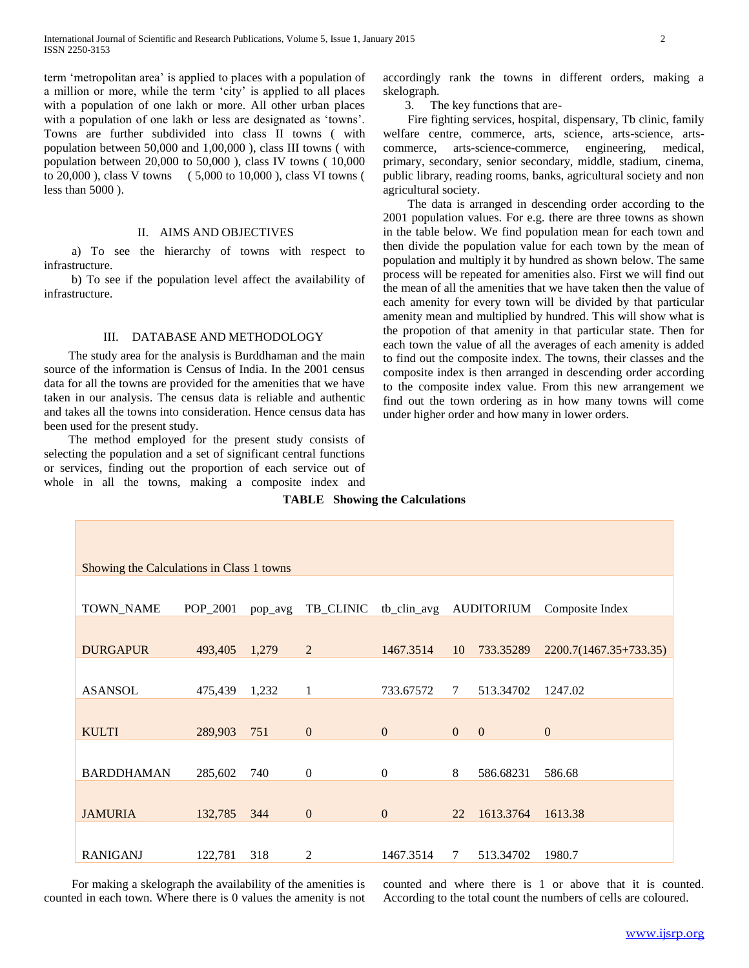term 'metropolitan area' is applied to places with a population of a million or more, while the term 'city' is applied to all places with a population of one lakh or more. All other urban places with a population of one lakh or less are designated as 'towns'. Towns are further subdivided into class II towns ( with population between 50,000 and 1,00,000 ), class III towns ( with population between 20,000 to 50,000 ), class IV towns ( 10,000 to 20,000 ), class V towns ( 5,000 to 10,000 ), class VI towns ( less than 5000 ).

## II. AIMS AND OBJECTIVES

 a) To see the hierarchy of towns with respect to infrastructure.

 b) To see if the population level affect the availability of infrastructure.

# III. DATABASE AND METHODOLOGY

 The study area for the analysis is Burddhaman and the main source of the information is Census of India. In the 2001 census data for all the towns are provided for the amenities that we have taken in our analysis. The census data is reliable and authentic and takes all the towns into consideration. Hence census data has been used for the present study.

 The method employed for the present study consists of selecting the population and a set of significant central functions or services, finding out the proportion of each service out of whole in all the towns, making a composite index and accordingly rank the towns in different orders, making a skelograph.

3. The key functions that are-

 Fire fighting services, hospital, dispensary, Tb clinic, family welfare centre, commerce, arts, science, arts-science, artscommerce, arts-science-commerce, engineering, medical, primary, secondary, senior secondary, middle, stadium, cinema, public library, reading rooms, banks, agricultural society and non agricultural society.

 The data is arranged in descending order according to the 2001 population values. For e.g. there are three towns as shown in the table below. We find population mean for each town and then divide the population value for each town by the mean of population and multiply it by hundred as shown below. The same process will be repeated for amenities also. First we will find out the mean of all the amenities that we have taken then the value of each amenity for every town will be divided by that particular amenity mean and multiplied by hundred. This will show what is the propotion of that amenity in that particular state. Then for each town the value of all the averages of each amenity is added to find out the composite index. The towns, their classes and the composite index is then arranged in descending order according to the composite index value. From this new arrangement we find out the town ordering as in how many towns will come under higher order and how many in lower orders.

| Showing the Calculations in Class 1 towns |          |         |                |                        |              |              |                        |  |
|-------------------------------------------|----------|---------|----------------|------------------------|--------------|--------------|------------------------|--|
|                                           |          |         |                |                        |              |              |                        |  |
| TOWN_NAME                                 | POP_2001 | pop_avg | TB_CLINIC      | tb_clin_avg AUDITORIUM |              |              | Composite Index        |  |
|                                           |          |         |                |                        |              |              |                        |  |
| <b>DURGAPUR</b>                           | 493,405  | 1,279   | $\overline{2}$ | 1467.3514              | 10           | 733.35289    | 2200.7(1467.35+733.35) |  |
|                                           |          |         |                |                        |              |              |                        |  |
| <b>ASANSOL</b>                            | 475,439  | 1,232   | $\mathbf{1}$   | 733.67572              | 7            | 513.34702    | 1247.02                |  |
|                                           |          |         |                |                        |              |              |                        |  |
| <b>KULTI</b>                              | 289,903  | 751     | $\mathbf{0}$   | $\boldsymbol{0}$       | $\mathbf{0}$ | $\mathbf{0}$ | $\mathbf{0}$           |  |
|                                           |          |         |                |                        |              |              |                        |  |
|                                           |          |         |                |                        |              |              |                        |  |
| <b>BARDDHAMAN</b>                         | 285,602  | 740     | $\overline{0}$ | $\mathbf{0}$           | 8            | 586.68231    | 586.68                 |  |
|                                           |          |         |                |                        |              |              |                        |  |
|                                           |          |         |                |                        |              |              |                        |  |
| <b>JAMURIA</b>                            | 132,785  | 344     | $\mathbf{0}$   | $\mathbf{0}$           | 22           | 1613.3764    | 1613.38                |  |
|                                           |          |         |                |                        |              |              |                        |  |
|                                           |          |         |                |                        |              |              |                        |  |
| <b>RANIGANJ</b>                           | 122,781  | 318     | 2              | 1467.3514              | 7            | 513.34702    | 1980.7                 |  |
|                                           |          |         |                |                        |              |              |                        |  |

**TABLE Showing the Calculations**

 For making a skelograph the availability of the amenities is counted in each town. Where there is 0 values the amenity is not counted and where there is 1 or above that it is counted. According to the total count the numbers of cells are coloured.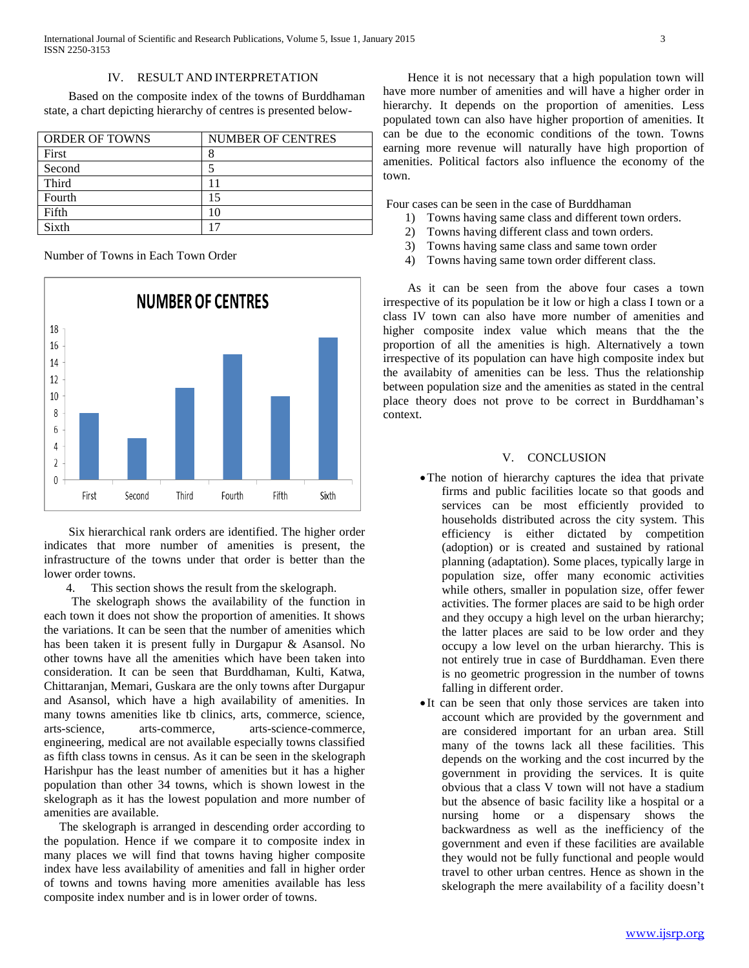Based on the composite index of the towns of Burddhaman state, a chart depicting hierarchy of centres is presented below-

| <b>ORDER OF TOWNS</b> | <b>NUMBER OF CENTRES</b> |
|-----------------------|--------------------------|
| First                 |                          |
| Second                |                          |
| Third                 |                          |
| Fourth                | 15                       |
| Fifth                 | 10                       |
| Sixth                 |                          |

Number of Towns in Each Town Order



 Six hierarchical rank orders are identified. The higher order indicates that more number of amenities is present, the infrastructure of the towns under that order is better than the lower order towns.

4. This section shows the result from the skelograph.

 The skelograph shows the availability of the function in each town it does not show the proportion of amenities. It shows the variations. It can be seen that the number of amenities which has been taken it is present fully in Durgapur & Asansol. No other towns have all the amenities which have been taken into consideration. It can be seen that Burddhaman, Kulti, Katwa, Chittaranjan, Memari, Guskara are the only towns after Durgapur and Asansol, which have a high availability of amenities. In many towns amenities like tb clinics, arts, commerce, science, arts-science, arts-commerce, arts-science-commerce, engineering, medical are not available especially towns classified as fifth class towns in census. As it can be seen in the skelograph Harishpur has the least number of amenities but it has a higher population than other 34 towns, which is shown lowest in the skelograph as it has the lowest population and more number of amenities are available.

 The skelograph is arranged in descending order according to the population. Hence if we compare it to composite index in many places we will find that towns having higher composite index have less availability of amenities and fall in higher order of towns and towns having more amenities available has less composite index number and is in lower order of towns.

 Hence it is not necessary that a high population town will have more number of amenities and will have a higher order in hierarchy. It depends on the proportion of amenities. Less populated town can also have higher proportion of amenities. It can be due to the economic conditions of the town. Towns earning more revenue will naturally have high proportion of amenities. Political factors also influence the economy of the town.

Four cases can be seen in the case of Burddhaman

- 1) Towns having same class and different town orders.
- 2) Towns having different class and town orders.
- 3) Towns having same class and same town order
- 4) Towns having same town order different class.

 As it can be seen from the above four cases a town irrespective of its population be it low or high a class I town or a class IV town can also have more number of amenities and higher composite index value which means that the the proportion of all the amenities is high. Alternatively a town irrespective of its population can have high composite index but the availabity of amenities can be less. Thus the relationship between population size and the amenities as stated in the central place theory does not prove to be correct in Burddhaman's context.

## V. CONCLUSION

- The notion of hierarchy captures the idea that private firms and public facilities locate so that goods and services can be most efficiently provided to households distributed across the city system. This efficiency is either dictated by competition (adoption) or is created and sustained by rational planning (adaptation). Some places, typically large in population size, offer many economic activities while others, smaller in population size, offer fewer activities. The former places are said to be high order and they occupy a high level on the urban hierarchy; the latter places are said to be low order and they occupy a low level on the urban hierarchy. This is not entirely true in case of Burddhaman. Even there is no geometric progression in the number of towns falling in different order.
- It can be seen that only those services are taken into account which are provided by the government and are considered important for an urban area. Still many of the towns lack all these facilities. This depends on the working and the cost incurred by the government in providing the services. It is quite obvious that a class V town will not have a stadium but the absence of basic facility like a hospital or a nursing home or a dispensary shows the backwardness as well as the inefficiency of the government and even if these facilities are available they would not be fully functional and people would travel to other urban centres. Hence as shown in the skelograph the mere availability of a facility doesn't